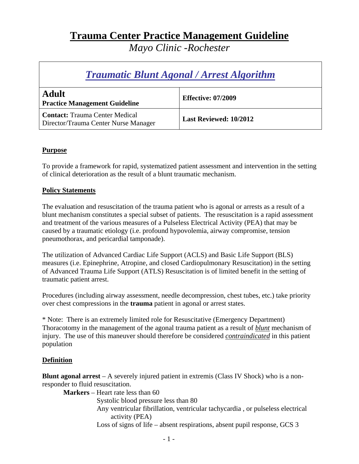# **Trauma Center Practice Management Guideline**

*Mayo Clinic -Rochester*

## *Traumatic Blunt Agonal / Arrest Algorithm*

| <b>Adult</b><br><b>Practice Management Guideline</b>                          | <b>Effective: 07/2009</b>     |
|-------------------------------------------------------------------------------|-------------------------------|
| <b>Contact:</b> Trauma Center Medical<br>Director/Trauma Center Nurse Manager | <b>Last Reviewed: 10/2012</b> |

#### **Purpose**

To provide a framework for rapid, systematized patient assessment and intervention in the setting of clinical deterioration as the result of a blunt traumatic mechanism.

#### **Policy Statements**

The evaluation and resuscitation of the trauma patient who is agonal or arrests as a result of a blunt mechanism constitutes a special subset of patients. The resuscitation is a rapid assessment and treatment of the various measures of a Pulseless Electrical Activity (PEA) that may be caused by a traumatic etiology (i.e. profound hypovolemia, airway compromise, tension pneumothorax, and pericardial tamponade).

The utilization of Advanced Cardiac Life Support (ACLS) and Basic Life Support (BLS) measures (i.e. Epinephrine, Atropine, and closed Cardiopulmonary Resuscitation) in the setting of Advanced Trauma Life Support (ATLS) Resuscitation is of limited benefit in the setting of traumatic patient arrest.

Procedures (including airway assessment, needle decompression, chest tubes, etc.) take priority over chest compressions in the **trauma** patient in agonal or arrest states.

\* Note: There is an extremely limited role for Resuscitative (Emergency Department) Thoracotomy in the management of the agonal trauma patient as a result of *blunt* mechanism of injury. The use of this maneuver should therefore be considered *contraindicated* in this patient population

## **Definition**

**Blunt agonal arrest** – A severely injured patient in extremis (Class IV Shock) who is a nonresponder to fluid resuscitation.

**Markers** – Heart rate less than 60

 Systolic blood pressure less than 80 Any ventricular fibrillation, ventricular tachycardia , or pulseless electrical activity (PEA) Loss of signs of life – absent respirations, absent pupil response, GCS 3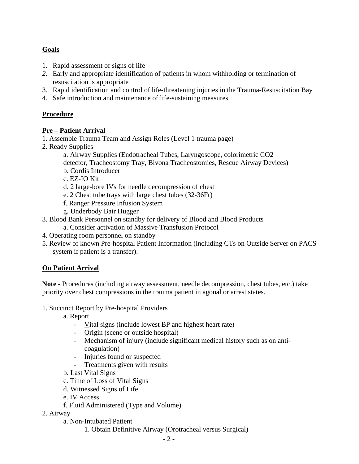### **Goals**

- 1. Rapid assessment of signs of life
- *2.* Early and appropriate identification of patients in whom withholding or termination of resuscitation is appropriate
- 3. Rapid identification and control of life-threatening injuries in the Trauma-Resuscitation Bay
- 4. Safe introduction and maintenance of life-sustaining measures

#### **Procedure**

#### **Pre – Patient Arrival**

- 1. Assemble Trauma Team and Assign Roles (Level 1 trauma page)
- 2. Ready Supplies
	- a. Airway Supplies (Endotracheal Tubes, Laryngoscope, colorimetric CO2
	- detector, Tracheostomy Tray, Bivona Tracheostomies, Rescue Airway Devices) b. Cordis Introducer
	-
	- c. EZ-IO Kit
	- d. 2 large-bore IVs for needle decompression of chest
	- e. 2 Chest tube trays with large chest tubes (32-36Fr)
	- f. Ranger Pressure Infusion System
	- g. Underbody Bair Hugger
- 3. Blood Bank Personnel on standby for delivery of Blood and Blood Products
	- a. Consider activation of Massive Transfusion Protocol
- 4. Operating room personnel on standby
- 5. Review of known Pre-hospital Patient Information (including CTs on Outside Server on PACS system if patient is a transfer).

## **On Patient Arrival**

**Note -** Procedures (including airway assessment, needle decompression, chest tubes, etc.) take priority over chest compressions in the trauma patient in agonal or arrest states.

1. Succinct Report by Pre-hospital Providers

a. Report

- Vital signs (include lowest BP and highest heart rate)
- Origin (scene or outside hospital)
- Mechanism of injury (include significant medical history such as on anticoagulation)
- Injuries found or suspected
- Treatments given with results
- b. Last Vital Signs
- c. Time of Loss of Vital Signs
- d. Witnessed Signs of Life
- e. IV Access
- f. Fluid Administered (Type and Volume)
- 2. Airway
	- a. Non-Intubated Patient
		- 1. Obtain Definitive Airway (Orotracheal versus Surgical)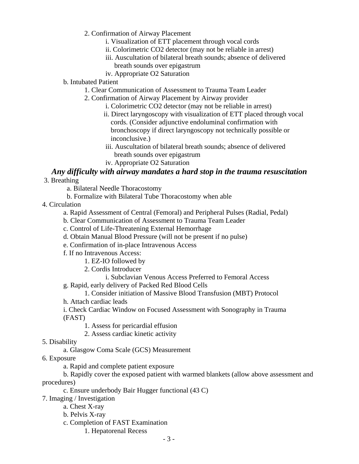- 2. Confirmation of Airway Placement
	- i. Visualization of ETT placement through vocal cords
	- ii. Colorimetric CO2 detector (may not be reliable in arrest)
	- iii. Auscultation of bilateral breath sounds; absence of delivered breath sounds over epigastrum
	- iv. Appropriate O2 Saturation

#### b. Intubated Patient

- 1. Clear Communication of Assessment to Trauma Team Leader
- 2. Confirmation of Airway Placement by Airway provider
	- i. Colorimetric CO2 detector (may not be reliable in arrest)
	- ii. Direct laryngoscopy with visualization of ETT placed through vocal cords. (Consider adjunctive endoluminal confirmation with bronchoscopy if direct laryngoscopy not technically possible or inconclusive.)
	- iii. Auscultation of bilateral breath sounds; absence of delivered breath sounds over epigastrum
	- iv. Appropriate O2 Saturation

### *Any difficulty with airway mandates a hard stop in the trauma resuscitation*  3. Breathing

- a. Bilateral Needle Thoracostomy
- b. Formalize with Bilateral Tube Thoracostomy when able
- 4. Circulation
	- a. Rapid Assessment of Central (Femoral) and Peripheral Pulses (Radial, Pedal)
	- b. Clear Communication of Assessment to Trauma Team Leader
	- c. Control of Life-Threatening External Hemorrhage
	- d. Obtain Manual Blood Pressure (will not be present if no pulse)
	- e. Confirmation of in-place Intravenous Access
	- f. If no Intravenous Access:
		- 1. EZ-IO followed by
		- 2. Cordis Introducer
			- i. Subclavian Venous Access Preferred to Femoral Access
	- g. Rapid, early delivery of Packed Red Blood Cells
		- 1. Consider initiation of Massive Blood Transfusion (MBT) Protocol
	- h. Attach cardiac leads
	- i. Check Cardiac Window on Focused Assessment with Sonography in Trauma (FAST)
		- 1. Assess for pericardial effusion
		- 2. Assess cardiac kinetic activity
- 5. Disability
	- a. Glasgow Coma Scale (GCS) Measurement
- 6. Exposure
	- a. Rapid and complete patient exposure
- b. Rapidly cover the exposed patient with warmed blankets (allow above assessment and procedures)
	- c. Ensure underbody Bair Hugger functional (43 C)
- 7. Imaging / Investigation
	- a. Chest X-ray
	- b. Pelvis X-ray
	- c. Completion of FAST Examination
		- 1. Hepatorenal Recess